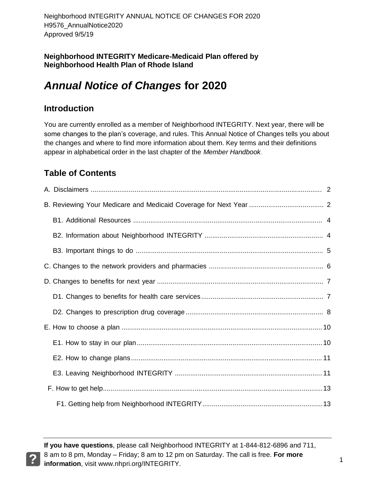**Neighborhood INTEGRITY Medicare-Medicaid Plan offered by Neighborhood Health Plan of Rhode Island**

# *Annual Notice of Changes* **for 2020**

## **Introduction**

You are currently enrolled as a member of Neighborhood INTEGRITY. Next year, there will be some changes to the plan's coverage, and rules. This Annual Notice of Changes tells you about the changes and where to find more information about them. Key terms and their definitions appear in alphabetical order in the last chapter of the *Member Handbook*.

## **Table of Contents**

**If you have questions**, please call Neighborhood INTEGRITY at 1-844-812-6896 and 711, 8 am to 8 pm, Monday – Friday; 8 am to 12 pm on Saturday. The call is free. **For more information**, visit www.nhpri.org/INTEGRITY.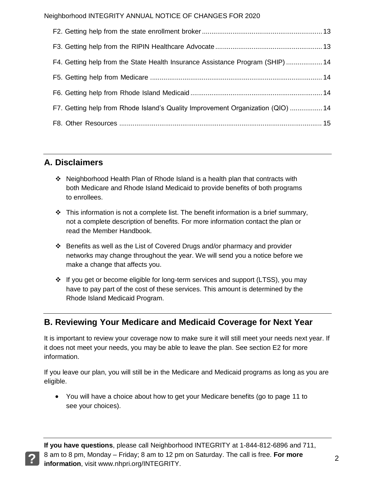| F4. Getting help from the State Health Insurance Assistance Program (SHIP)  14  |  |
|---------------------------------------------------------------------------------|--|
|                                                                                 |  |
|                                                                                 |  |
| F7. Getting help from Rhode Island's Quality Improvement Organization (QIO)  14 |  |
|                                                                                 |  |

## **A. Disclaimers**

- Neighborhood Health Plan of Rhode Island is a health plan that contracts with both Medicare and Rhode Island Medicaid to provide benefits of both programs to enrollees.
- $\cdot \cdot$  This information is not a complete list. The benefit information is a brief summary, not a complete description of benefits. For more information contact the plan or read the Member Handbook.
- $\div$  Benefits as well as the List of Covered Drugs and/or pharmacy and provider networks may change throughout the year. We will send you a notice before we make a change that affects you.
- If you get or become eligible for long-term services and support (LTSS), you may have to pay part of the cost of these services. This amount is determined by the Rhode Island Medicaid Program.

## **B. Reviewing Your Medicare and Medicaid Coverage for Next Year**

It is important to review your coverage now to make sure it will still meet your needs next year. If it does not meet your needs, you may be able to leave the plan. See section E2 for more information.

If you leave our plan, you will still be in the Medicare and Medicaid programs as long as you are eligible.

 You will have a choice about how to get your Medicare benefits (go to page 11 to see your choices).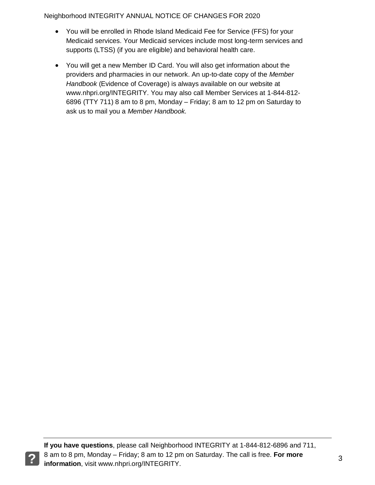- You will be enrolled in Rhode Island Medicaid Fee for Service (FFS) for your Medicaid services. Your Medicaid services include most long-term services and supports (LTSS) (if you are eligible) and behavioral health care.
- You will get a new Member ID Card. You will also get information about the providers and pharmacies in our network. An up-to-date copy of the *Member Handbook* (Evidence of Coverage) is always available on our website at www.nhpri.org/INTEGRITY. You may also call Member Services at 1-844-812- 6896 (TTY 711) 8 am to 8 pm, Monday – Friday; 8 am to 12 pm on Saturday to ask us to mail you a *Member Handbook.*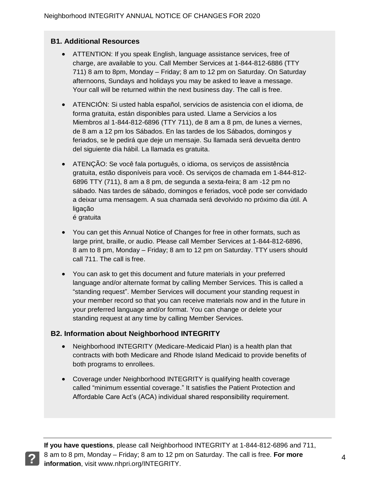#### **B1. Additional Resources**

- ATTENTION: If you speak English, language assistance services, free of charge, are available to you. Call Member Services at 1-844-812-6886 (TTY 711) 8 am to 8pm, Monday – Friday; 8 am to 12 pm on Saturday. On Saturday afternoons, Sundays and holidays you may be asked to leave a message. Your call will be returned within the next business day. The call is free.
- ATENCIÓN: Si usted habla español, servicios de asistencia con el idioma, de forma gratuita, están disponibles para usted. Llame a Servicios a los Miembros al 1-844-812-6896 (TTY 711), de 8 am a 8 pm, de lunes a viernes, de 8 am a 12 pm los Sábados. En las tardes de los Sábados, domingos y feriados, se le pedirá que deje un mensaje. Su llamada será devuelta dentro del siguiente día hábil. La llamada es gratuita.
- ATENÇÃO: Se você fala português, o idioma, os serviços de assistência gratuita, estão disponíveis para você. Os serviços de chamada em 1-844-812- 6896 TTY (711), 8 am a 8 pm, de segunda a sexta-feira; 8 am -12 pm no sábado. Nas tardes de sábado, domingos e feriados, você pode ser convidado a deixar uma mensagem. A sua chamada será devolvido no próximo dia útil. A ligação é gratuita
- You can get this Annual Notice of Changes for free in other formats, such as large print, braille, or audio. Please call Member Services at 1-844-812-6896, 8 am to 8 pm, Monday – Friday; 8 am to 12 pm on Saturday. TTY users should call 711. The call is free.
- You can ask to get this document and future materials in your preferred language and/or alternate format by calling Member Services. This is called a "standing request". Member Services will document your standing request in your member record so that you can receive materials now and in the future in your preferred language and/or format. You can change or delete your standing request at any time by calling Member Services.

#### **B2. Information about Neighborhood INTEGRITY**

- Neighborhood INTEGRITY (Medicare-Medicaid Plan) is a health plan that contracts with both Medicare and Rhode Island Medicaid to provide benefits of both programs to enrollees.
- Coverage under Neighborhood INTEGRITY is qualifying health coverage called "minimum essential coverage." It satisfies the Patient Protection and Affordable Care Act's (ACA) individual shared responsibility requirement.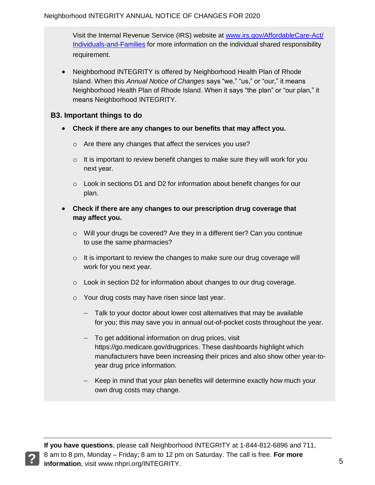Visit the Internal Revenue Service (IRS) website at www.irs.gov/AffordableCare-Act/ Individuals-and-Families for more information on the individual shared responsibility requirement.

• Neighborhood INTEGRITY is offered by Neighborhood Health Plan of Rhode Island. When this *Annual Notice of Changes* says "we," "us," or "our," it means Neighborhood Health Plan of Rhode Island. When it says "the plan" or "our plan," it means Neighborhood INTEGRITY.

### **B3. Important things to do**

- **Check if there are any changes to our benefits that may affect you.**
	- o Are there any changes that affect the services you use?
	- $\circ$  It is important to review benefit changes to make sure they will work for you next year.
	- o Look in sections D1 and D2 for information about benefit changes for our plan.
- **Check if there are any changes to our prescription drug coverage that may affect you.**
	- $\circ$  Will your drugs be covered? Are they in a different tier? Can you continue to use the same pharmacies?
	- o It is important to review the changes to make sure our drug coverage will work for you next year.
	- o Look in section D2 for information about changes to our drug coverage.
	- o Your drug costs may have risen since last year.
		- Talk to your doctor about lower cost alternatives that may be available for you; this may save you in annual out-of-pocket costs throughout the year.
		- To get additional information on drug prices, visit https://go.medicare.gov/drugprices. These dashboards highlight which manufacturers have been increasing their prices and also show other year-toyear drug price information.
		- Keep in mind that your plan benefits will determine exactly how much your own drug costs may change.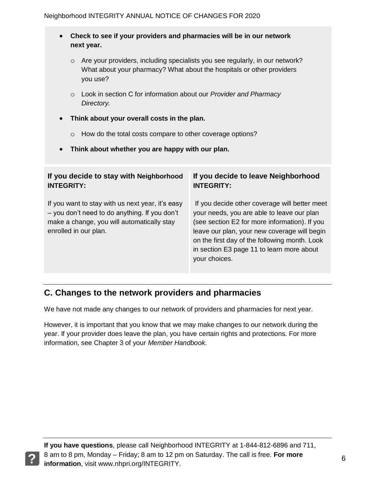#### **Check to see if your providers and pharmacies will be in our network next year.**

- o Are your providers, including specialists you see regularly, in our network? What about your pharmacy? What about the hospitals or other providers you use?
- o Look in section C for information about our *Provider and Pharmacy Directory.*
- **Think about your overall costs in the plan.** 
	- o How do the total costs compare to other coverage options?
- **Think about whether you are happy with our plan.**

| If you decide to stay with Neighborhood                                                                                                                                  | If you decide to leave Neighborhood                                                                                                                                                                                                                                                                         |
|--------------------------------------------------------------------------------------------------------------------------------------------------------------------------|-------------------------------------------------------------------------------------------------------------------------------------------------------------------------------------------------------------------------------------------------------------------------------------------------------------|
| <b>INTEGRITY:</b>                                                                                                                                                        | <b>INTEGRITY:</b>                                                                                                                                                                                                                                                                                           |
| If you want to stay with us next year, it's easy<br>- you don't need to do anything. If you don't<br>make a change, you will automatically stay<br>enrolled in our plan. | If you decide other coverage will better meet<br>your needs, you are able to leave our plan<br>(see section E2 for more information). If you<br>leave our plan, your new coverage will begin<br>on the first day of the following month. Look<br>in section E3 page 11 to learn more about<br>your choices. |

## **C. Changes to the network providers and pharmacies**

We have not made any changes to our network of providers and pharmacies for next year.

However, it is important that you know that we may make changes to our network during the year. If your provider does leave the plan, you have certain rights and protections. For more information, see Chapter 3 of your *Member Handbook.*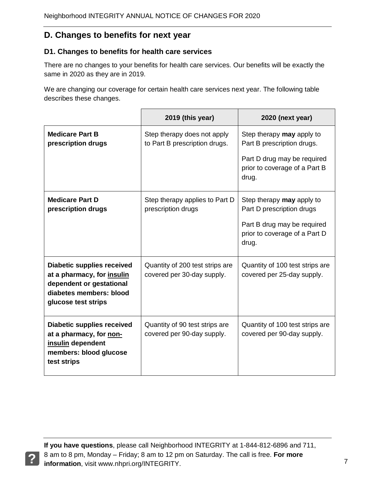## **D. Changes to benefits for next year**

#### **D1. Changes to benefits for health care services**

There are no changes to your benefits for health care services*.* Our benefits will be exactly the same in 2020 as they are in 2019.

We are changing our coverage for certain health care services next year. The following table describes these changes.

|                                                                                                                                               | 2019 (this year)                                              | 2020 (next year)                                                      |
|-----------------------------------------------------------------------------------------------------------------------------------------------|---------------------------------------------------------------|-----------------------------------------------------------------------|
| <b>Medicare Part B</b><br>prescription drugs                                                                                                  | Step therapy does not apply<br>to Part B prescription drugs.  | Step therapy may apply to<br>Part B prescription drugs.               |
|                                                                                                                                               |                                                               | Part D drug may be required<br>prior to coverage of a Part B<br>drug. |
| <b>Medicare Part D</b><br>prescription drugs                                                                                                  | Step therapy applies to Part D<br>prescription drugs          | Step therapy may apply to<br>Part D prescription drugs                |
|                                                                                                                                               |                                                               | Part B drug may be required<br>prior to coverage of a Part D<br>drug. |
| <b>Diabetic supplies received</b><br>at a pharmacy, for insulin<br>dependent or gestational<br>diabetes members: blood<br>glucose test strips | Quantity of 200 test strips are<br>covered per 30-day supply. | Quantity of 100 test strips are<br>covered per 25-day supply.         |
| <b>Diabetic supplies received</b><br>at a pharmacy, for non-<br>insulin dependent<br>members: blood glucose<br>test strips                    | Quantity of 90 test strips are<br>covered per 90-day supply.  | Quantity of 100 test strips are<br>covered per 90-day supply.         |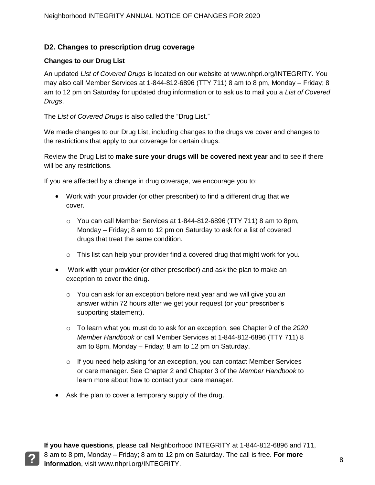#### **D2. Changes to prescription drug coverage**

#### **Changes to our Drug List**

An updated *List of Covered Drugs* is located on our website at www.nhpri.org/INTEGRITY. You may also call Member Services at 1-844-812-6896 (TTY 711) 8 am to 8 pm, Monday – Friday; 8 am to 12 pm on Saturday for updated drug information or to ask us to mail you a *List of Covered Drugs*.

The *List of Covered Drugs* is also called the "Drug List."

We made changes to our Drug List, including changes to the drugs we cover and changes to the restrictions that apply to our coverage for certain drugs.

Review the Drug List to **make sure your drugs will be covered next year** and to see if there will be any restrictions.

If you are affected by a change in drug coverage, we encourage you to:

- Work with your provider (or other prescriber) to find a different drug that we cover.
	- o You can call Member Services at 1-844-812-6896 (TTY 711) 8 am to 8pm, Monday – Friday; 8 am to 12 pm on Saturday to ask for a list of covered drugs that treat the same condition.
	- $\circ$  This list can help your provider find a covered drug that might work for you.
- Work with your provider (or other prescriber) and ask the plan to make an exception to cover the drug.
	- $\circ$  You can ask for an exception before next year and we will give you an answer within 72 hours after we get your request (or your prescriber's supporting statement).
	- o To learn what you must do to ask for an exception, see Chapter 9 of the *2020 Member Handbook* or call Member Services at 1-844-812-6896 (TTY 711) 8 am to 8pm, Monday – Friday; 8 am to 12 pm on Saturday.
	- $\circ$  If you need help asking for an exception, you can contact Member Services or care manager. See Chapter 2 and Chapter 3 of the *Member Handbook* to learn more about how to contact your care manager.
- Ask the plan to cover a temporary supply of the drug.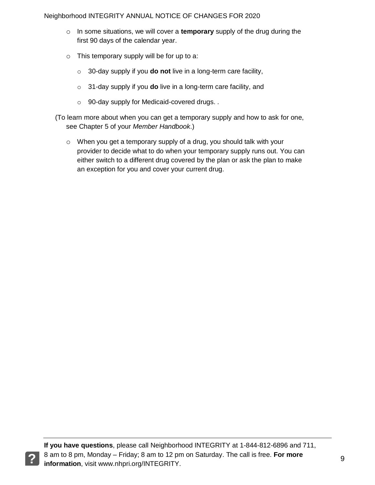- o In some situations, we will cover a **temporary** supply of the drug during the first 90 days of the calendar year.
- o This temporary supply will be for up to a:
	- o 30-day supply if you **do not** live in a long-term care facility,
	- o 31-day supply if you **do** live in a long-term care facility, and
	- o 90-day supply for Medicaid-covered drugs. *.*

(To learn more about when you can get a temporary supply and how to ask for one, see Chapter 5 of your *Member Handbook*.)

o When you get a temporary supply of a drug, you should talk with your provider to decide what to do when your temporary supply runs out. You can either switch to a different drug covered by the plan or ask the plan to make an exception for you and cover your current drug.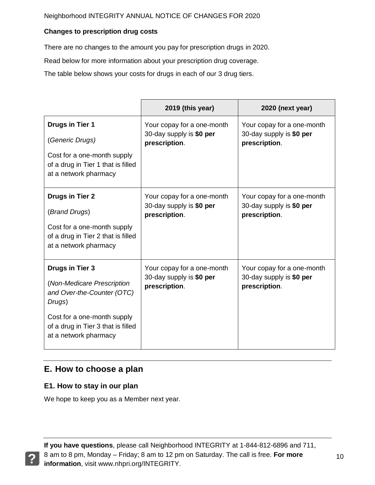#### **Changes to prescription drug costs**

There are no changes to the amount you pay for prescription drugs in 2020.

Read below for more information about your prescription drug coverage.

The table below shows your costs for drugs in each of our 3 drug tiers.

|                                                                                                                                                                                     | 2019 (this year)                                                        | 2020 (next year)                                                        |
|-------------------------------------------------------------------------------------------------------------------------------------------------------------------------------------|-------------------------------------------------------------------------|-------------------------------------------------------------------------|
| <b>Drugs in Tier 1</b><br>(Generic Drugs)<br>Cost for a one-month supply<br>of a drug in Tier 1 that is filled                                                                      | Your copay for a one-month<br>30-day supply is \$0 per<br>prescription. | Your copay for a one-month<br>30-day supply is \$0 per<br>prescription. |
| at a network pharmacy                                                                                                                                                               |                                                                         |                                                                         |
| <b>Drugs in Tier 2</b><br>(Brand Drugs)<br>Cost for a one-month supply<br>of a drug in Tier 2 that is filled<br>at a network pharmacy                                               | Your copay for a one-month<br>30-day supply is \$0 per<br>prescription. | Your copay for a one-month<br>30-day supply is \$0 per<br>prescription. |
| Drugs in Tier 3<br>(Non-Medicare Prescription<br>and Over-the-Counter (OTC)<br>Drugs)<br>Cost for a one-month supply<br>of a drug in Tier 3 that is filled<br>at a network pharmacy | Your copay for a one-month<br>30-day supply is \$0 per<br>prescription. | Your copay for a one-month<br>30-day supply is \$0 per<br>prescription. |

## **E. How to choose a plan**

## **E1. How to stay in our plan**

We hope to keep you as a Member next year.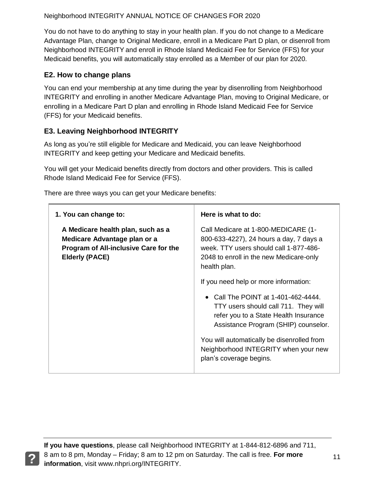You do not have to do anything to stay in your health plan. If you do not change to a Medicare Advantage Plan, change to Original Medicare, enroll in a Medicare Part D plan, or disenroll from Neighborhood INTEGRITY and enroll in Rhode Island Medicaid Fee for Service (FFS) for your Medicaid benefits, you will automatically stay enrolled as a Member of our plan for 2020.

#### **E2. How to change plans**

You can end your membership at any time during the year by disenrolling from Neighborhood INTEGRITY and enrolling in another Medicare Advantage Plan, moving to Original Medicare, or enrolling in a Medicare Part D plan and enrolling in Rhode Island Medicaid Fee for Service (FFS) for your Medicaid benefits.

## **E3. Leaving Neighborhood INTEGRITY**

As long as you're still eligible for Medicare and Medicaid, you can leave Neighborhood INTEGRITY and keep getting your Medicare and Medicaid benefits.

You will get your Medicaid benefits directly from doctors and other providers. This is called Rhode Island Medicaid Fee for Service (FFS).

There are three ways you can get your Medicare benefits:

| 1. You can change to:                                                                                                                      | Here is what to do:                                                                                                                                                                 |
|--------------------------------------------------------------------------------------------------------------------------------------------|-------------------------------------------------------------------------------------------------------------------------------------------------------------------------------------|
| A Medicare health plan, such as a<br>Medicare Advantage plan or a<br><b>Program of All-inclusive Care for the</b><br><b>Elderly (PACE)</b> | Call Medicare at 1-800-MEDICARE (1-<br>800-633-4227), 24 hours a day, 7 days a<br>week. TTY users should call 1-877-486-<br>2048 to enroll in the new Medicare-only<br>health plan. |
|                                                                                                                                            | If you need help or more information:                                                                                                                                               |
|                                                                                                                                            | Call The POINT at 1-401-462-4444.<br>TTY users should call 711. They will<br>refer you to a State Health Insurance<br>Assistance Program (SHIP) counselor.                          |
|                                                                                                                                            | You will automatically be disenrolled from<br>Neighborhood INTEGRITY when your new<br>plan's coverage begins.                                                                       |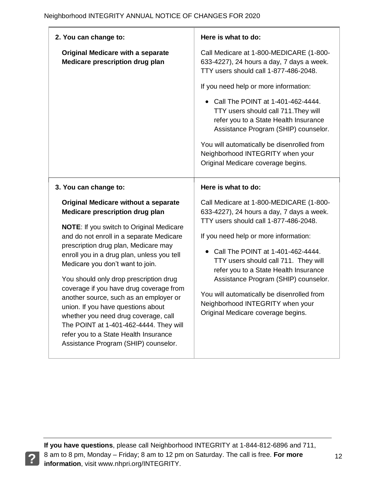| 2. You can change to:                                                                                                                                                                                                                                                                                                                | Here is what to do:                                                                                                                                                                                                                                                                          |
|--------------------------------------------------------------------------------------------------------------------------------------------------------------------------------------------------------------------------------------------------------------------------------------------------------------------------------------|----------------------------------------------------------------------------------------------------------------------------------------------------------------------------------------------------------------------------------------------------------------------------------------------|
| <b>Original Medicare with a separate</b><br>Medicare prescription drug plan                                                                                                                                                                                                                                                          | Call Medicare at 1-800-MEDICARE (1-800-<br>633-4227), 24 hours a day, 7 days a week.<br>TTY users should call 1-877-486-2048.                                                                                                                                                                |
|                                                                                                                                                                                                                                                                                                                                      | If you need help or more information:<br>Call The POINT at 1-401-462-4444.                                                                                                                                                                                                                   |
|                                                                                                                                                                                                                                                                                                                                      | TTY users should call 711. They will<br>refer you to a State Health Insurance<br>Assistance Program (SHIP) counselor.                                                                                                                                                                        |
|                                                                                                                                                                                                                                                                                                                                      | You will automatically be disenrolled from<br>Neighborhood INTEGRITY when your<br>Original Medicare coverage begins.                                                                                                                                                                         |
| 3. You can change to:                                                                                                                                                                                                                                                                                                                | Here is what to do:                                                                                                                                                                                                                                                                          |
| <b>Original Medicare without a separate</b><br>Medicare prescription drug plan<br><b>NOTE:</b> If you switch to Original Medicare<br>and do not enroll in a separate Medicare<br>prescription drug plan, Medicare may<br>enroll you in a drug plan, unless you tell<br>Medicare you don't want to join.                              | Call Medicare at 1-800-MEDICARE (1-800-<br>633-4227), 24 hours a day, 7 days a week.<br>TTY users should call 1-877-486-2048.<br>If you need help or more information:<br>Call The POINT at 1-401-462-4444.<br>TTY users should call 711. They will<br>refer you to a State Health Insurance |
| You should only drop prescription drug<br>coverage if you have drug coverage from<br>another source, such as an employer or<br>union. If you have questions about<br>whether you need drug coverage, call<br>The POINT at 1-401-462-4444. They will<br>refer you to a State Health Insurance<br>Assistance Program (SHIP) counselor. | Assistance Program (SHIP) counselor.<br>You will automatically be disenrolled from<br>Neighborhood INTEGRITY when your<br>Original Medicare coverage begins.                                                                                                                                 |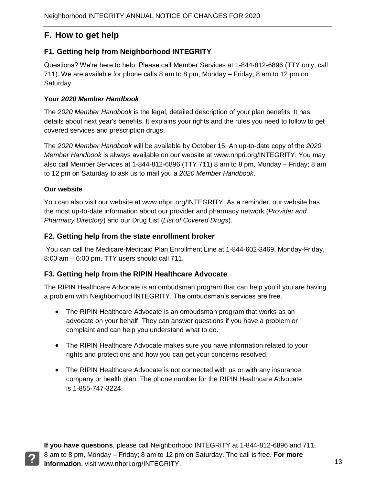## **F. How to get help**

#### **F1. Getting help from Neighborhood INTEGRITY**

Questions? We're here to help. Please call Member Services at 1-844-812-6896 (TTY only, call 711). We are available for phone calls 8 am to 8 pm, Monday – Friday; 8 am to 12 pm on Saturday.

#### **Your** *2020 Member Handbook*

The *2020 Member Handbook* is the legal, detailed description of your plan benefits. It has details about next year's benefits. It explains your rights and the rules you need to follow to get covered services and prescription drugs.

The *2020 Member Handbook* will be available by October 15. An up-to-date copy of the *2020 Member Handbook* is always available on our website at www.nhpri.org/INTEGRITY. You may also call Member Services at 1-844-812-6896 (TTY 711) 8 am to 8 pm, Monday – Friday; 8 am to 12 pm on Saturday to ask us to mail you a *2020 Member Handbook*.

#### **Our website**

You can also visit our website at www.nhpri.org/INTEGRITY. As a reminder, our website has the most up-to-date information about our provider and pharmacy network (*Provider and Pharmacy Directory*) and our Drug List (*List of Covered Drugs*).

#### **F2. Getting help from the state enrollment broker**

You can call the Medicare-Medicaid Plan Enrollment Line at 1-844-602-3469, Monday-Friday, 8:00 am – 6:00 pm. TTY users should call 711.

#### **F3. Getting help from the RIPIN Healthcare Advocate**

The RIPIN Healthcare Advocate is an ombudsman program that can help you if you are having a problem with Neighborhood INTEGRITY. The ombudsman's services are free.

- The RIPIN Healthcare Advocate is an ombudsman program that works as an advocate on your behalf. They can answer questions if you have a problem or complaint and can help you understand what to do.
- The RIPIN Healthcare Advocate makes sure you have information related to your rights and protections and how you can get your concerns resolved.
- The RIPIN Healthcare Advocate is not connected with us or with any insurance company or health plan. The phone number for the RIPIN Healthcare Advocate is 1-855-747-3224.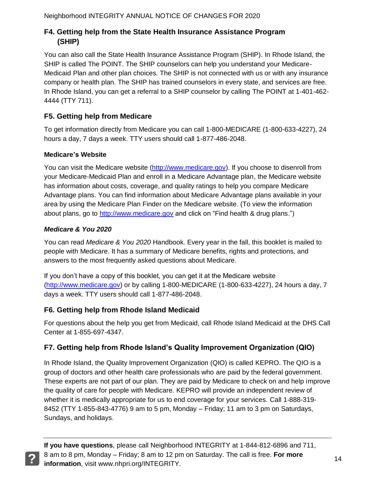## **F4. Getting help from the State Health Insurance Assistance Program (SHIP)**

You can also call the State Health Insurance Assistance Program (SHIP). In Rhode Island, the SHIP is called The POINT. The SHIP counselors can help you understand your Medicare-Medicaid Plan and other plan choices. The SHIP is not connected with us or with any insurance company or health plan. The SHIP has trained counselors in every state, and services are free. In Rhode Island, you can get a referral to a SHIP counselor by calling The POINT at 1-401-462- 4444 (TTY 711).

## **F5. Getting help from Medicare**

To get information directly from Medicare you can call 1-800-MEDICARE (1-800-633-4227), 24 hours a day, 7 days a week. TTY users should call 1-877-486-2048.

#### **Medicare's Website**

You can visit the Medicare website (http://www.medicare.gov). If you choose to disenroll from your Medicare-Medicaid Plan and enroll in a Medicare Advantage plan, the Medicare website has information about costs, coverage, and quality ratings to help you compare Medicare Advantage plans. You can find information about Medicare Advantage plans available in your area by using the Medicare Plan Finder on the Medicare website. (To view the information about plans, go to http://www.medicare.gov and click on "Find health & drug plans.")

#### *Medicare & You 2020*

You can read *Medicare & You 2020* Handbook. Every year in the fall, this booklet is mailed to people with Medicare. It has a summary of Medicare benefits, rights and protections, and answers to the most frequently asked questions about Medicare.

If you don't have a copy of this booklet, you can get it at the Medicare website (http://www.medicare.gov) or by calling 1-800-MEDICARE (1-800-633-4227), 24 hours a day, 7 days a week. TTY users should call 1-877-486-2048.

## **F6. Getting help from Rhode Island Medicaid**

For questions about the help you get from Medicaid, call Rhode Island Medicaid at the DHS Call Center at 1-855-697-4347.

## **F7. Getting help from Rhode Island's Quality Improvement Organization (QIO)**

In Rhode Island, the Quality Improvement Organization (QIO) is called KEPRO. The QIO is a group of doctors and other health care professionals who are paid by the federal government. These experts are not part of our plan. They are paid by Medicare to check on and help improve the quality of care for people with Medicare. KEPRO will provide an independent review of whether it is medically appropriate for us to end coverage for your services. Call 1-888-319- 8452 (TTY 1-855-843-4776) 9 am to 5 pm, Monday – Friday; 11 am to 3 pm on Saturdays, Sundays, and holidays.